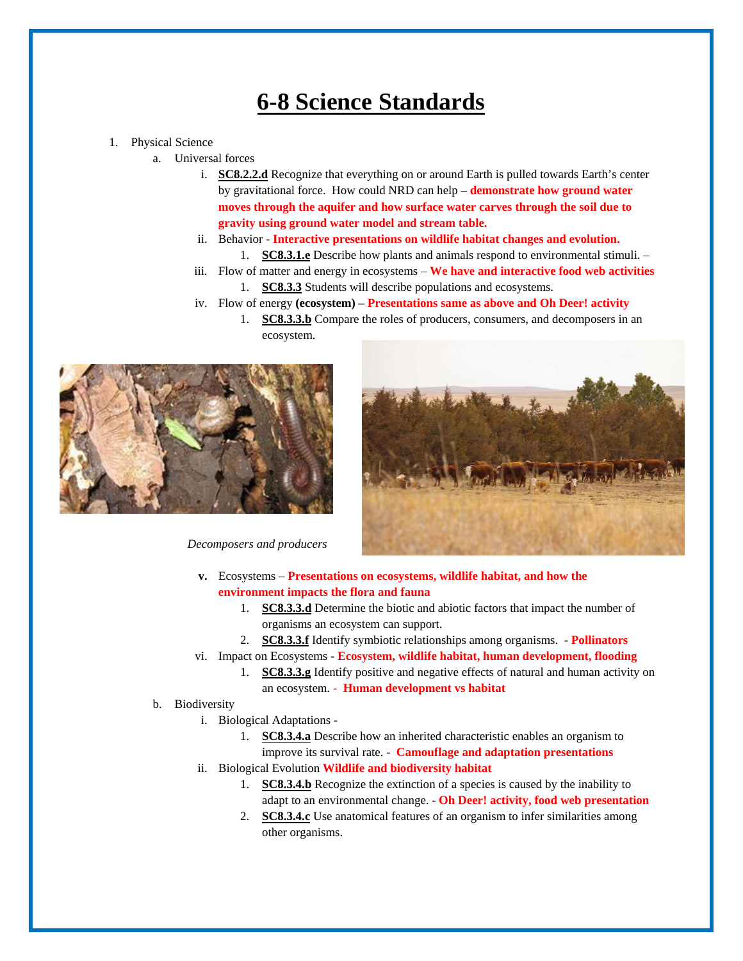## **6-8 Science Standards**

## 1. Physical Science

- a. Universal forces
	- i. **SC8.2.2.d** Recognize that everything on or around Earth is pulled towards Earth's center by gravitational force. How could NRD can help – **demonstrate how ground water moves through the aquifer and how surface water carves through the soil due to gravity using ground water model and stream table.**
	- ii. Behavior - **Interactive presentations on wildlife habitat changes and evolution.**  1. **SC8.3.1.e** Describe how plants and animals respond to environmental stimuli. –
	- iii. Flow of matter and energy in ecosystems **We have and interactive food web activities**
		- 1. **SC8.3.3** Students will describe populations and ecosystems.
	- iv. Flow of energy **(ecosystem) Presentations same as above and Oh Deer! activity**
		- 1. **SC8.3.3.b** Compare the roles of producers, consumers, and decomposers in an ecosystem.



 *Decomposers and producers* 



- **v.** Ecosystems **Presentations on ecosystems, wildlife habitat, and how the environment impacts the flora and fauna**
	- 1. **SC8.3.3.d** Determine the biotic and abiotic factors that impact the number of organisms an ecosystem can support.
	- 2. **SC8.3.3.f** Identify symbiotic relationships among organisms.  **Pollinators**
- vi. Impact on Ecosystems  **Ecosystem, wildlife habitat, human development, flooding**
	- 1. **SC8.3.3.g** Identify positive and negative effects of natural and human activity on an ecosystem. **- Human development vs habitat**
- b. Biodiversity
	- i. Biological Adaptations **-**
		- 1. **SC8.3.4.a** Describe how an inherited characteristic enables an organism to improve its survival rate. - **Camouflage and adaptation presentations**
	- ii. Biological Evolution **Wildlife and biodiversity habitat**
		- 1. **SC8.3.4.b** Recognize the extinction of a species is caused by the inability to adapt to an environmental change. - **Oh Deer! activity, food web presentation**
		- 2. **SC8.3.4.c** Use anatomical features of an organism to infer similarities among other organisms.